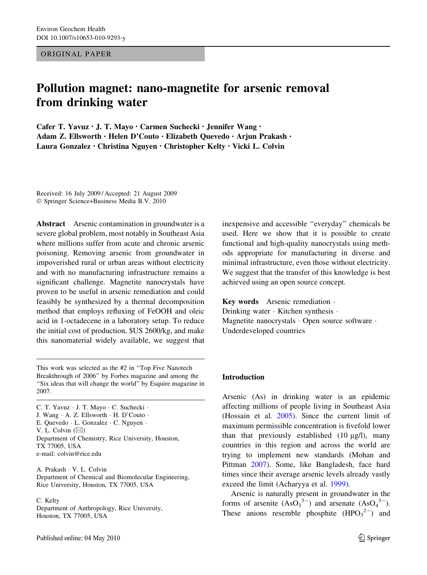ORIGINAL PAPER

# Pollution magnet: nano-magnetite for arsenic removal from drinking water

Cafer T. Yavuz • J. T. Mayo • Carmen Suchecki • Jennifer Wang • Adam Z. Ellsworth • Helen D'Couto • Elizabeth Quevedo • Arjun Prakash • Laura Gonzalez • Christina Nguyen • Christopher Kelty • Vicki L. Colvin

Received: 16 July 2009 / Accepted: 21 August 2009 ! Springer Science+Business Media B.V. 2010

Abstract Arsenic contamination in groundwater is a severe global problem, most notably in Southeast Asia where millions suffer from acute and chronic arsenic poisoning. Removing arsenic from groundwater in impoverished rural or urban areas without electricity and with no manufacturing infrastructure remains a significant challenge. Magnetite nanocrystals have proven to be useful in arsenic remediation and could feasibly be synthesized by a thermal decomposition method that employs refluxing of FeOOH and oleic acid in 1-octadecene in a laboratory setup. To reduce the initial cost of production, \$US 2600/kg, and make this nanomaterial widely available, we suggest that

This work was selected as the #2 in ''Top Five Nanotech Breakthrough of 2006'' by Forbes magazine and among the "Six ideas that will change the world" by Esquire magazine in 2007.

C. T. Yavuz · J. T. Mayo · C. Suchecki · J. Wang · A. Z. Ellsworth · H. D'Couto · E. Quevedo  $\cdot$  L. Gonzalez  $\cdot$  C. Nguyen  $\cdot$ V. L. Colvin  $(\boxtimes)$ Department of Chemistry, Rice University, Houston, TX 77005, USA e-mail: colvin@rice.edu

A. Prakash · V. L. Colvin Department of Chemical and Biomolecular Engineering, Rice University, Houston, TX 77005, USA

#### C. Kelty

Department of Anthropology, Rice University, Houston, TX 77005, USA

inexpensive and accessible ''everyday'' chemicals be used. Here we show that it is possible to create functional and high-quality nanocrystals using methods appropriate for manufacturing in diverse and minimal infrastructure, even those without electricity. We suggest that the transfer of this knowledge is best achieved using an open source concept.

Key words Arsenic remediation . Drinking water · Kitchen synthesis · Magnetite nanocrystals · Open source software · Underdeveloped countries

#### Introduction

Arsenic (As) in drinking water is an epidemic affecting millions of people living in Southeast Asia (Hossain et al. [2005\)](#page-7-0). Since the current limit of maximum permissible concentration is fivefold lower than that previously established  $(10 \mu g/l)$ , many countries in this region and across the world are trying to implement new standards (Mohan and Pittman [2007\)](#page-7-0). Some, like Bangladesh, face hard times since their average arsenic levels already vastly exceed the limit (Acharyya et al. [1999](#page-7-0)).

Arsenic is naturally present in groundwater in the forms of arsenite  $(AsO<sub>3</sub><sup>3-</sup>)$  and arsenate  $(AsO<sub>4</sub><sup>3-</sup>)$ . These anions resemble phosphite  $(HPO<sub>3</sub><sup>2–</sup>)$  and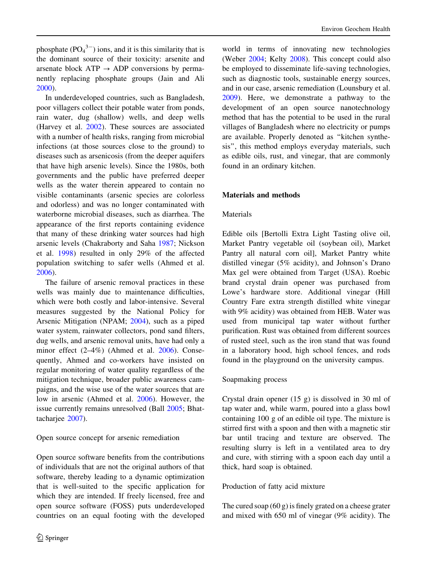phosphate  $(PO<sub>4</sub><sup>3–</sup>)$  ions, and it is this similarity that is the dominant source of their toxicity: arsenite and arsenate block  $ATP \rightarrow ADP$  conversions by permanently replacing phosphate groups (Jain and Ali [2000\)](#page-7-0).

In underdeveloped countries, such as Bangladesh, poor villagers collect their potable water from ponds, rain water, dug (shallow) wells, and deep wells (Harvey et al. [2002\)](#page-7-0). These sources are associated with a number of health risks, ranging from microbial infections (at those sources close to the ground) to diseases such as arsenicosis (from the deeper aquifers that have high arsenic levels). Since the 1980s, both governments and the public have preferred deeper wells as the water therein appeared to contain no visible contaminants (arsenic species are colorless and odorless) and was no longer contaminated with waterborne microbial diseases, such as diarrhea. The appearance of the first reports containing evidence that many of these drinking water sources had high arsenic levels (Chakraborty and Saha [1987;](#page-7-0) Nickson et al. [1998](#page-7-0)) resulted in only 29% of the affected population switching to safer wells (Ahmed et al. [2006\)](#page-7-0).

The failure of arsenic removal practices in these wells was mainly due to maintenance difficulties, which were both costly and labor-intensive. Several measures suggested by the National Policy for Arsenic Mitigation (NPAM; [2004](#page-7-0)), such as a piped water system, rainwater collectors, pond sand filters, dug wells, and arsenic removal units, have had only a minor effect (2–4%) (Ahmed et al. [2006](#page-7-0)). Consequently, Ahmed and co-workers have insisted on regular monitoring of water quality regardless of the mitigation technique, broader public awareness campaigns, and the wise use of the water sources that are low in arsenic (Ahmed et al. [2006\)](#page-7-0). However, the issue currently remains unresolved (Ball [2005](#page-7-0); Bhattacharjee [2007](#page-7-0)).

#### Open source concept for arsenic remediation

Open source software benefits from the contributions of individuals that are not the original authors of that software, thereby leading to a dynamic optimization that is well-suited to the specific application for which they are intended. If freely licensed, free and open source software (FOSS) puts underdeveloped countries on an equal footing with the developed

world in terms of innovating new technologies (Weber [2004;](#page-7-0) Kelty [2008\)](#page-7-0). This concept could also be employed to disseminate life-saving technologies, such as diagnostic tools, sustainable energy sources, and in our case, arsenic remediation (Lounsbury et al. [2009\)](#page-7-0). Here, we demonstrate a pathway to the development of an open source nanotechnology method that has the potential to be used in the rural villages of Bangladesh where no electricity or pumps are available. Properly denoted as ''kitchen synthesis'', this method employs everyday materials, such as edible oils, rust, and vinegar, that are commonly found in an ordinary kitchen.

## Materials and methods

## Materials

Edible oils [Bertolli Extra Light Tasting olive oil, Market Pantry vegetable oil (soybean oil), Market Pantry all natural corn oil], Market Pantry white distilled vinegar (5% acidity), and Johnson's Drano Max gel were obtained from Target (USA). Roebic brand crystal drain opener was purchased from Lowe's hardware store. Additional vinegar (Hill Country Fare extra strength distilled white vinegar with 9% acidity) was obtained from HEB. Water was used from municipal tap water without further purification. Rust was obtained from different sources of rusted steel, such as the iron stand that was found in a laboratory hood, high school fences, and rods found in the playground on the university campus.

### Soapmaking process

Crystal drain opener (15 g) is dissolved in 30 ml of tap water and, while warm, poured into a glass bowl containing 100 g of an edible oil type. The mixture is stirred first with a spoon and then with a magnetic stir bar until tracing and texture are observed. The resulting slurry is left in a ventilated area to dry and cure, with stirring with a spoon each day until a thick, hard soap is obtained.

### Production of fatty acid mixture

The cured soap (60 g) is finely grated on a cheese grater and mixed with 650 ml of vinegar (9% acidity). The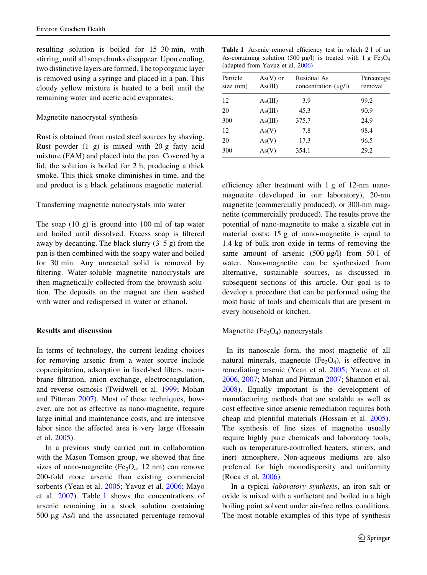resulting solution is boiled for 15–30 min, with stirring, until all soap chunks disappear. Upon cooling, two distinctive layers are formed. The top organic layer is removed using a syringe and placed in a pan. This cloudy yellow mixture is heated to a boil until the remaining water and acetic acid evaporates.

#### Magnetite nanocrystal synthesis

Rust is obtained from rusted steel sources by shaving. Rust powder (1 g) is mixed with 20 g fatty acid mixture (FAM) and placed into the pan. Covered by a lid, the solution is boiled for 2 h, producing a thick smoke. This thick smoke diminishes in time, and the end product is a black gelatinous magnetic material.

### Transferring magnetite nanocrystals into water

The soap (10 g) is ground into 100 ml of tap water and boiled until dissolved. Excess soap is filtered away by decanting. The black slurry  $(3-5 \text{ g})$  from the pan is then combined with the soapy water and boiled for 30 min. Any unreacted solid is removed by filtering. Water-soluble magnetite nanocrystals are then magnetically collected from the brownish solution. The deposits on the magnet are then washed with water and redispersed in water or ethanol.

#### Results and discussion

In terms of technology, the current leading choices for removing arsenic from a water source include coprecipitation, adsorption in fixed-bed filters, membrane filtration, anion exchange, electrocoagulation, and reverse osmosis (Twidwell et al. [1999;](#page-7-0) Mohan and Pittman [2007\)](#page-7-0). Most of these techniques, however, are not as effective as nano-magnetite, require large initial and maintenance costs, and are intensive labor since the affected area is very large (Hossain et al. [2005](#page-7-0)).

<span id="page-2-0"></span>In a previous study carried out in collaboration with the Mason Tomson group, we showed that fine sizes of nano-magnetite (Fe<sub>3</sub>O<sub>4</sub>, 12 nm) can remove 200-fold more arsenic than existing commercial sorbents (Yean et al. [2005](#page-7-0); Yavuz et al. [2006;](#page-7-0) Mayo et al. [2007\)](#page-7-0). Table [1](#page-2-0) shows the concentrations of arsenic remaining in a stock solution containing 500 µg As/l and the associated percentage removal

Table 1 Arsenic removal efficiency test in which 2 l of an As-containing solution (500  $\mu$ g/l) is treated with 1 g Fe<sub>3</sub>O<sub>4</sub> (adapted from Yavuz et al. [2006](#page-7-0))

| Particle<br>size (nm) | $As(V)$ or<br>As(III) | Residual As<br>concentration $(\mu g/l)$ | Percentage<br>removal |  |
|-----------------------|-----------------------|------------------------------------------|-----------------------|--|
| 12                    | As(III)               | 3.9                                      | 99.2                  |  |
| 20                    | As(III)               | 45.3                                     | 90.9                  |  |
| 300                   | As(III)               | 375.7                                    | 24.9                  |  |
| 12                    | As(V)                 | 7.8                                      | 98.4                  |  |
| 20                    | As(V)                 | 17.3                                     | 96.5                  |  |
| 300                   | As(V)                 | 354.1                                    | 29.2                  |  |

efficiency after treatment with 1 g of 12-nm nanomagnetite (developed in our laboratory), 20-nm magnetite (commercially produced), or 300-nm magnetite (commercially produced). The results prove the potential of nano-magnetite to make a sizable cut in material costs: 15 g of nano-magnetite is equal to 1.4 kg of bulk iron oxide in terms of removing the same amount of arsenic  $(500 \mu g/l)$  from  $501$  of water. Nano-magnetite can be synthesized from alternative, sustainable sources, as discussed in subsequent sections of this article. Our goal is to develop a procedure that can be performed using the most basic of tools and chemicals that are present in every household or kitchen.

### Magnetite ( $Fe<sub>3</sub>O<sub>4</sub>$ ) nanocrystals

In its nanoscale form, the most magnetic of all natural minerals, magnetite  $(Fe<sub>3</sub>O<sub>4</sub>)$ , is effective in remediating arsenic (Yean et al. [2005](#page-7-0); Yavuz et al. [2006,](#page-7-0) [2007](#page-7-0); Mohan and Pittman [2007](#page-7-0); Shannon et al. [2008\)](#page-7-0). Equally important is the development of manufacturing methods that are scalable as well as cost effective since arsenic remediation requires both cheap and plentiful materials (Hossain et al. [2005](#page-7-0)). The synthesis of fine sizes of magnetite usually require highly pure chemicals and laboratory tools, such as temperature-controlled heaters, stirrers, and inert atmosphere. Non-aqueous mediums are also preferred for high monodispersity and uniformity (Roca et al. [2006\)](#page-7-0).

In a typical laboratory synthesis, an iron salt or oxide is mixed with a surfactant and boiled in a high boiling point solvent under air-free reflux conditions. The most notable examples of this type of synthesis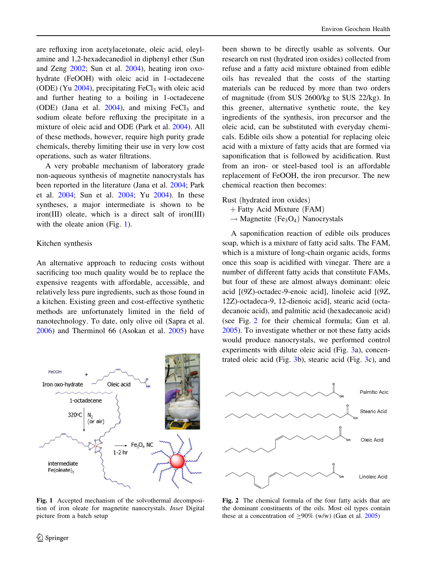are refluxing iron acetylacetonate, oleic acid, oleylamine and 1,2-hexadecanediol in diphenyl ether (Sun and Zeng [2002;](#page-7-0) Sun et al. [2004\)](#page-7-0), heating iron oxohydrate (FeOOH) with oleic acid in 1-octadecene (ODE) (Yu  $2004$ ), precipitating FeCl<sub>3</sub> with oleic acid and further heating to a boiling in 1-octadecene (ODE) (Jana et al.  $2004$ ), and mixing FeCl<sub>3</sub> and sodium oleate before refluxing the precipitate in a mixture of oleic acid and ODE (Park et al. [2004\)](#page-7-0). All of these methods, however, require high purity grade chemicals, thereby limiting their use in very low cost operations, such as water filtrations.

A very probable mechanism of laboratory grade non-aqueous synthesis of magnetite nanocrystals has been reported in the literature (Jana et al. [2004](#page-7-0); Park et al. [2004](#page-7-0); Sun et al. [2004](#page-7-0); Yu [2004\)](#page-7-0). In these syntheses, a major intermediate is shown to be iron(III) oleate, which is a direct salt of iron(III) with the oleate anion (Fig. [1\)](#page-3-0).

#### Kitchen synthesis

An alternative approach to reducing costs without sacrificing too much quality would be to replace the expensive reagents with affordable, accessible, and relatively less pure ingredients, such as those found in a kitchen. Existing green and cost-effective synthetic methods are unfortunately limited in the field of nanotechnology. To date, only olive oil (Sapra et al. [2006\)](#page-7-0) and Therminol 66 (Asokan et al. [2005\)](#page-7-0) have



<span id="page-3-0"></span>Fig. 1 Accepted mechanism of the solvothermal decomposition of iron oleate for magnetite nanocrystals. Inset Digital picture from a batch setup

been shown to be directly usable as solvents. Our research on rust (hydrated iron oxides) collected from refuse and a fatty acid mixture obtained from edible oils has revealed that the costs of the starting materials can be reduced by more than two orders of magnitude (from \$US 2600/kg to \$US 22/kg). In this greener, alternative synthetic route, the key ingredients of the synthesis, iron precursor and the oleic acid, can be substituted with everyday chemicals. Edible oils show a potential for replacing oleic acid with a mixture of fatty acids that are formed via saponification that is followed by acidification. Rust from an iron- or steel-based tool is an affordable replacement of FeOOH, the iron precursor. The new chemical reaction then becomes:

Rust (hydrated iron oxides)

- $+$  Fatty Acid Mixture (FAM)
- $\rightarrow$  Magnetite (Fe<sub>3</sub>O<sub>4</sub>) Nanocrystals

A saponification reaction of edible oils produces soap, which is a mixture of fatty acid salts. The FAM, which is a mixture of long-chain organic acids, forms once this soap is acidified with vinegar. There are a number of different fatty acids that constitute FAMs, but four of these are almost always dominant: oleic acid [(9Z)-octadec-9-enoic acid], linoleic acid [(9Z, 12Z)-octadeca-9, 12-dienoic acid], stearic acid (octadecanoic acid), and palmitic acid (hexadecanoic acid) (see Fig. [2](#page-3-0) for their chemical formula; Gan et al. [2005\)](#page-7-0). To investigate whether or not these fatty acids would produce nanocrystals, we performed control experiments with dilute oleic acid (Fig. [3a](#page-4-0)), concentrated oleic acid (Fig. [3](#page-4-0)b), stearic acid (Fig. [3](#page-4-0)c), and



Fig. 2 The chemical formula of the four fatty acids that are the dominant constituents of the oils. Most oil types contain these at a concentration of  $>90\%$  (w/w) (Gan et al. [2005](#page-7-0))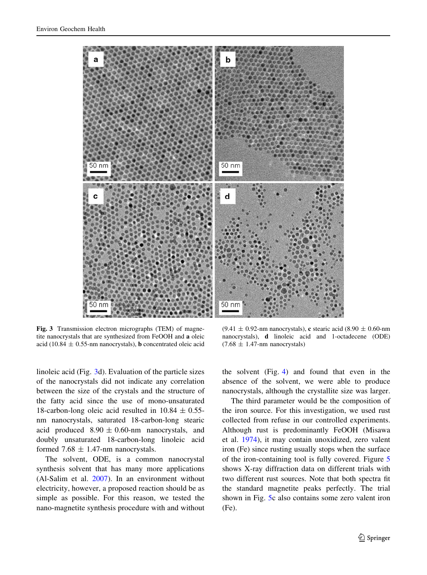

Fig. 3 Transmission electron micrographs (TEM) of magnetite nanocrystals that are synthesized from FeOOH and a oleic acid (10.84  $\pm$  0.55-nm nanocrystals), **b** concentrated oleic acid

linoleic acid (Fig. [3d](#page-4-0)). Evaluation of the particle sizes of the nanocrystals did not indicate any correlation between the size of the crystals and the structure of the fatty acid since the use of mono-unsaturated 18-carbon-long oleic acid resulted in  $10.84 \pm 0.55$ nm nanocrystals, saturated 18-carbon-long stearic acid produced  $8.90 \pm 0.60$ -nm nanocrystals, and doubly unsaturated 18-carbon-long linoleic acid formed 7.68  $\pm$  1.47-nm nanocrystals.

<span id="page-4-0"></span>The solvent, ODE, is a common nanocrystal synthesis solvent that has many more applications (Al-Salim et al. [2007](#page-7-0)). In an environment without electricity, however, a proposed reaction should be as simple as possible. For this reason, we tested the nano-magnetite synthesis procedure with and without

 $(9.41 \pm 0.92$ -nm nanocrystals), c stearic acid  $(8.90 \pm 0.60$ -nm nanocrystals), d linoleic acid and 1-octadecene (ODE)  $(7.68 \pm 1.47$ -nm nanocrystals)

the solvent (Fig. [4](#page-5-0)) and found that even in the absence of the solvent, we were able to produce nanocrystals, although the crystallite size was larger.

The third parameter would be the composition of the iron source. For this investigation, we used rust collected from refuse in our controlled experiments. Although rust is predominantly FeOOH (Misawa et al. [1974\)](#page-7-0), it may contain unoxidized, zero valent iron (Fe) since rusting usually stops when the surface of the iron-containing tool is fully covered. Figure [5](#page-5-0) shows X-ray diffraction data on different trials with two different rust sources. Note that both spectra fit the standard magnetite peaks perfectly. The trial shown in Fig. [5c](#page-5-0) also contains some zero valent iron (Fe).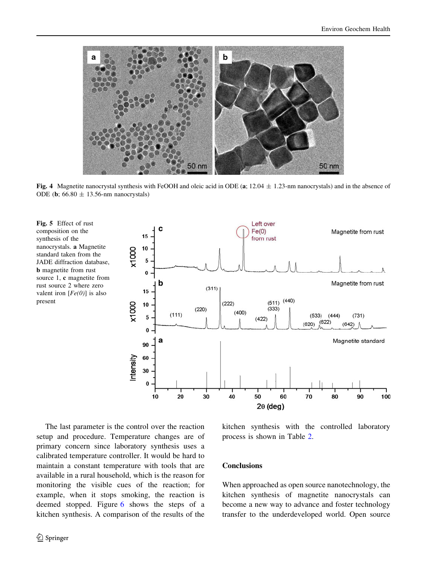

Fig. 4 Magnetite nanocrystal synthesis with FeOOH and oleic acid in ODE (a;  $12.04 \pm 1.23$ -nm nanocrystals) and in the absence of ODE (**b**;  $66.80 \pm 13.56$ -nm nanocrystals)

Fig. 5 Effect of rust composition on the synthesis of the nanocrystals. a Magnetite standard taken from the JADE diffraction database, **b** magnetite from rust source 1, c magnetite from rust source 2 where zero valent iron  $[Fe(0)]$  is also present



<span id="page-5-0"></span>The last parameter is the control over the reaction setup and procedure. Temperature changes are of primary concern since laboratory synthesis uses a calibrated temperature controller. It would be hard to maintain a constant temperature with tools that are available in a rural household, which is the reason for monitoring the visible cues of the reaction; for example, when it stops smoking, the reaction is deemed stopped. Figure [6](#page-6-0) shows the steps of a kitchen synthesis. A comparison of the results of the

kitchen synthesis with the controlled laboratory process is shown in Table [2.](#page-6-0)

#### **Conclusions**

When approached as open source nanotechnology, the kitchen synthesis of magnetite nanocrystals can become a new way to advance and foster technology transfer to the underdeveloped world. Open source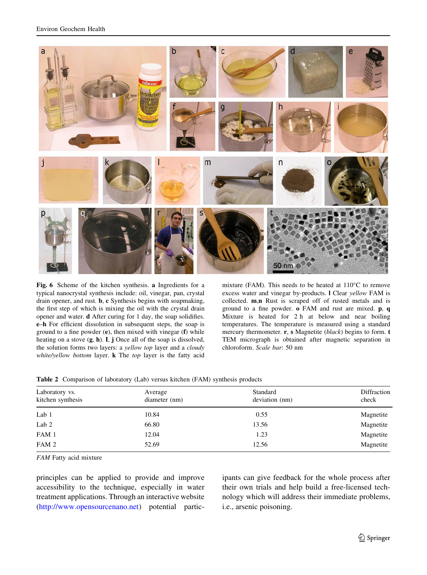

Fig. 6 Scheme of the kitchen synthesis. a Ingredients for a typical nanocrystal synthesis include: oil, vinegar, pan, crystal drain opener, and rust. b, c Synthesis begins with soapmaking, the first step of which is mixing the oil with the crystal drain opener and water. d After curing for 1 day, the soap solidifies. e–h For efficient dissolution in subsequent steps, the soap is ground to a fine powder (e), then mixed with vinegar (f) while heating on a stove (g, h). I, j Once all of the soap is dissolved, the solution forms two layers: a yellow top layer and a cloudy white/yellow bottom layer. **k** The top layer is the fatty acid

mixture (FAM). This needs to be heated at 110"C to remove excess water and vinegar by-products. l Clear yellow FAM is collected. m,n Rust is scraped off of rusted metals and is ground to a fine powder. o FAM and rust are mixed. p, q Mixture is heated for 2 h at below and near boiling temperatures. The temperature is measured using a standard mercury thermometer. r, s Magnetite (black) begins to form. t TEM micrograph is obtained after magnetic separation in chloroform. Scale bar: 50 nm

|  |  |  |  | Table 2 Comparison of laboratory (Lab) versus kitchen (FAM) synthesis products |  |  |  |
|--|--|--|--|--------------------------------------------------------------------------------|--|--|--|
|--|--|--|--|--------------------------------------------------------------------------------|--|--|--|

| Laboratory vs.    | Average       | Standard       | Diffraction |  |
|-------------------|---------------|----------------|-------------|--|
| kitchen synthesis | diameter (nm) | deviation (nm) | check       |  |
| Lab 1             | 10.84         | 0.55           | Magnetite   |  |
| Lab $2$           | 66.80         | 13.56          | Magnetite   |  |
| FAM 1             | 12.04         | 1.23           | Magnetite   |  |
| FAM 2             | 52.69         | 12.56          | Magnetite   |  |

FAM Fatty acid mixture

<span id="page-6-0"></span>principles can be applied to provide and improve accessibility to the technique, especially in water treatment applications. Through an interactive website [\(http://www.opensourcenano.net\)](http://www.opensourcenano.net) potential participants can give feedback for the whole process after their own trials and help build a free-licensed technology which will address their immediate problems, i.e., arsenic poisoning.